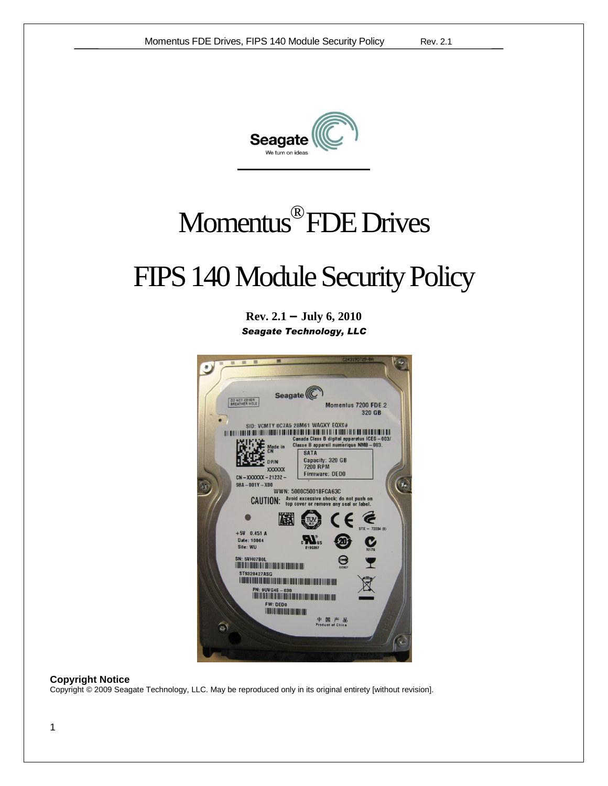

# Momentus® FDE Drives

# FIPS 140 Module Security Policy

**Rev. 2.1** *–* **July 6, 2010** *Seagate Technology, LLC*



#### **Copyright Notice**

Copyright © 2009 Seagate Technology, LLC. May be reproduced only in its original entirety [without revision].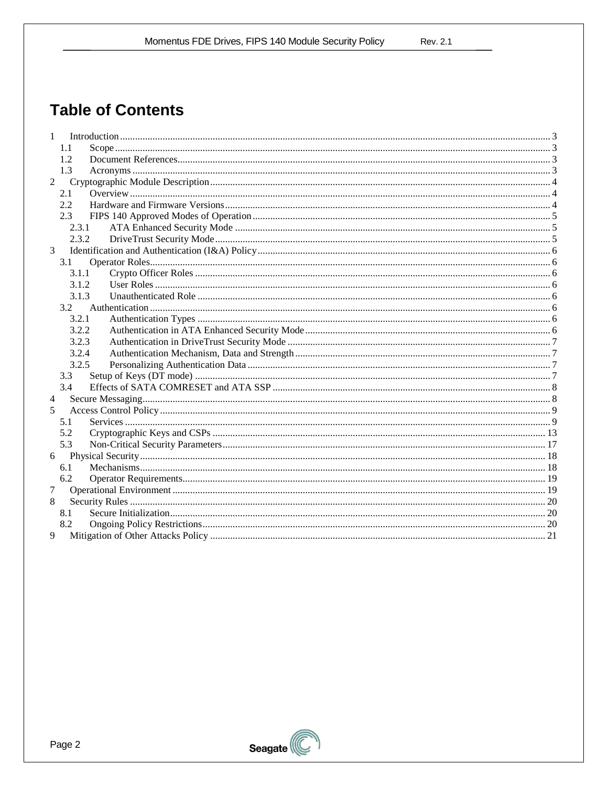**Rev. 2.1** 

# **Table of Contents**

| 1              |       |  |
|----------------|-------|--|
|                | 1.1   |  |
|                | 1.2   |  |
|                | 1.3   |  |
| 2              |       |  |
|                | 2.1   |  |
|                | 2.2   |  |
|                | 2.3   |  |
|                | 2.3.1 |  |
|                | 2.3.2 |  |
| 3              |       |  |
|                | 3.1   |  |
|                | 3.1.1 |  |
|                | 3.1.2 |  |
|                | 3.1.3 |  |
|                | 3.2   |  |
|                | 3.2.1 |  |
|                | 3.2.2 |  |
|                | 3.2.3 |  |
|                | 3.2.4 |  |
|                | 3.2.5 |  |
|                | 3.3   |  |
|                | 3.4   |  |
| 4              |       |  |
| $\overline{5}$ |       |  |
|                | 5.1   |  |
|                | 5.2   |  |
|                | 5.3   |  |
| 6              |       |  |
|                | 6.1   |  |
|                | 6.2   |  |
| 7              |       |  |
| 8              |       |  |
|                | 8.1   |  |
|                | 8.2   |  |
| 9              |       |  |

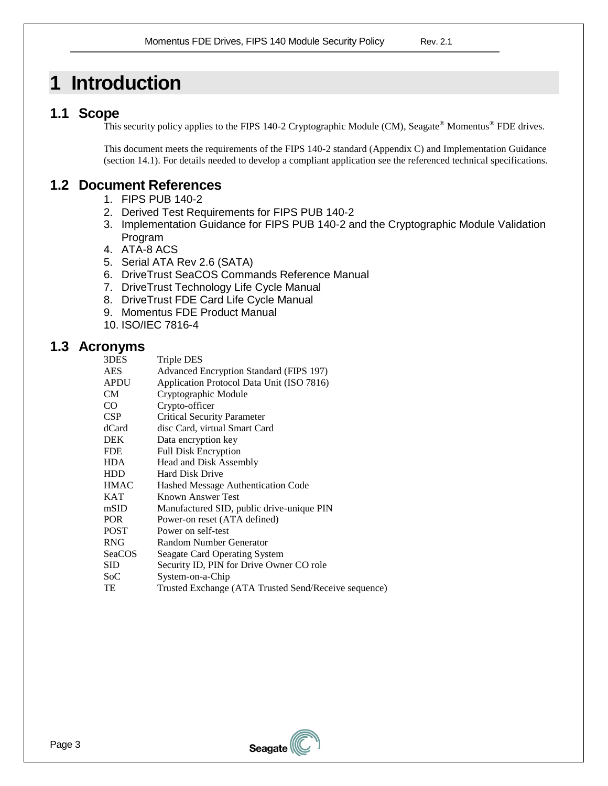# <span id="page-2-0"></span>**1 Introduction**

## <span id="page-2-9"></span><span id="page-2-8"></span><span id="page-2-1"></span>**1.1 Scope**

This security policy applies to the FIPS 140-2 Cryptographic Module (CM), Seagate® Momentus® FDE drives.

This document meets the requirements of the FIPS 140-2 standard (Appendix C) and Implementation Guidance (section 14.1). For details needed to develop a compliant application see the referenced technical specifications.

# <span id="page-2-2"></span>**1.2 Document References**

- 1. FIPS PUB 140-2
- 2. Derived Test Requirements for FIPS PUB 140-2
- 3. Implementation Guidance for FIPS PUB 140-2 and the Cryptographic Module Validation Program
- <span id="page-2-4"></span>4. ATA-8 ACS
- <span id="page-2-5"></span>5. Serial ATA Rev 2.6 (SATA)
- <span id="page-2-6"></span>6. DriveTrust SeaCOS Commands Reference Manual
- <span id="page-2-10"></span>7. DriveTrust Technology Life Cycle Manual
- 8. DriveTrust FDE Card Life Cycle Manual
- 9. Momentus FDE Product Manual
- 10. ISO/IEC 7816-4

### <span id="page-2-11"></span><span id="page-2-7"></span><span id="page-2-3"></span>**1.3 Acronyms**

| 3DES          | Triple DES                                |
|---------------|-------------------------------------------|
| <b>AES</b>    | Advanced Encryption Standard (FIPS 197)   |
| <b>APDU</b>   | Application Protocol Data Unit (ISO 7816) |
| CM            | Cryptographic Module                      |
| CO.           | Crypto-officer                            |
| <b>CSP</b>    | <b>Critical Security Parameter</b>        |
| dCard         | disc Card, virtual Smart Card             |
| <b>DEK</b>    | Data encryption key                       |
| <b>FDE</b>    | <b>Full Disk Encryption</b>               |
| <b>HDA</b>    | Head and Disk Assembly                    |
| <b>HDD</b>    | <b>Hard Disk Drive</b>                    |
| <b>HMAC</b>   | Hashed Message Authentication Code        |
| <b>KAT</b>    | Known Answer Test                         |
| mSID          | Manufactured SID, public drive-unique PIN |
| <b>POR</b>    | Power-on reset (ATA defined)              |
| <b>POST</b>   | Power on self-test                        |
| <b>RNG</b>    | Random Number Generator                   |
| <b>SeaCOS</b> | Seagate Card Operating System             |
| <b>SID</b>    | Security ID, PIN for Drive Owner CO role  |
| SoC           | System-on-a-Chip                          |



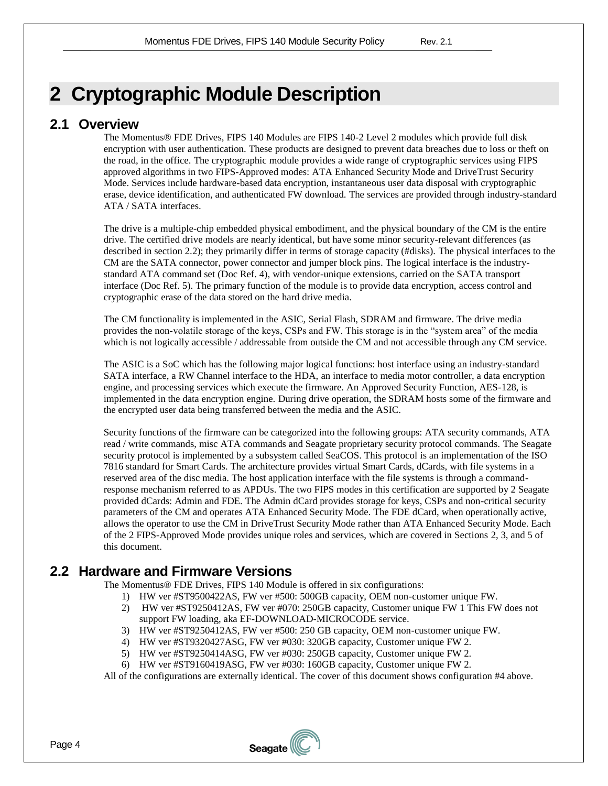# <span id="page-3-0"></span>**2 Cryptographic Module Description**

### <span id="page-3-1"></span>**2.1 Overview**

The Momentus® FDE Drives, FIPS 140 Modules are FIPS 140-2 Level 2 modules which provide full disk encryption with user authentication. These products are designed to prevent data breaches due to loss or theft on the road, in the office. The cryptographic module provides a wide range of cryptographic services using FIPS approved algorithms in two FIPS-Approved modes: ATA Enhanced Security Mode and DriveTrust Security Mode. Services include hardware-based data encryption, instantaneous user data disposal with cryptographic erase, device identification, and authenticated FW download. The services are provided through industry-standard ATA / SATA interfaces.

The drive is a multiple-chip embedded physical embodiment, and the physical boundary of the CM is the entire drive. The certified drive models are nearly identical, but have some minor security-relevant differences (as described in section [2.2\)](#page-3-2); they primarily differ in terms of storage capacity (#disks). The physical interfaces to the CM are the SATA connector, power connector and jumper block pins. The logical interface is the industrystandard ATA command set (Doc Ref. [4\)](#page-2-4), with vendor-unique extensions, carried on the SATA transport interface (Doc Ref. [5\)](#page-2-5). The primary function of the module is to provide data encryption, access control and cryptographic erase of the data stored on the hard drive media.

The CM functionality is implemented in the ASIC, Serial Flash, SDRAM and firmware. The drive media provides the non-volatile storage of the keys, CSPs and FW. This storage is in the "system area" of the media which is not logically accessible / addressable from outside the CM and not accessible through any CM service.

The ASIC is a SoC which has the following major logical functions: host interface using an industry-standard SATA interface, a RW Channel interface to the HDA, an interface to media motor controller, a data encryption engine, and processing services which execute the firmware. An Approved Security Function, AES-128, is implemented in the data encryption engine. During drive operation, the SDRAM hosts some of the firmware and the encrypted user data being transferred between the media and the ASIC.

Security functions of the firmware can be categorized into the following groups: ATA security commands, ATA read / write commands, misc ATA commands and Seagate proprietary security protocol commands. The Seagate security protocol is implemented by a subsystem called SeaCOS. This protocol is an implementation of the ISO 7816 standard for Smart Cards. The architecture provides virtual Smart Cards, dCards, with file systems in a reserved area of the disc media. The host application interface with the file systems is through a commandresponse mechanism referred to as APDUs. The two FIPS modes in this certification are supported by 2 Seagate provided dCards: Admin and FDE. The Admin dCard provides storage for keys, CSPs and non-critical security parameters of the CM and operates ATA Enhanced Security Mode. The FDE dCard, when operationally active, allows the operator to use the CM in DriveTrust Security Mode rather than ATA Enhanced Security Mode. Each of the 2 FIPS-Approved Mode provides unique roles and services, which are covered in Sections 2, 3, and 5 of this document.

# <span id="page-3-2"></span>**2.2 Hardware and Firmware Versions**

The Momentus® FDE Drives, FIPS 140 Module is offered in six configurations:

- 1) HW ver #ST9500422AS, FW ver #500: 500GB capacity, OEM non-customer unique FW.
- 2) HW ver #ST9250412AS, FW ver #070: 250GB capacity, Customer unique FW 1 This FW does not support FW loading, aka EF-DOWNLOAD-MICROCODE service.
- 3) HW ver #ST9250412AS, FW ver #500: 250 GB capacity, OEM non-customer unique FW.
- 4) HW ver #ST9320427ASG, FW ver #030: 320GB capacity, Customer unique FW 2.
- 5) HW ver #ST9250414ASG, FW ver #030: 250GB capacity, Customer unique FW 2.
- 6) HW ver #ST9160419ASG, FW ver #030: 160GB capacity, Customer unique FW 2.

All of the configurations are externally identical. The cover of this document shows configuration #4 above.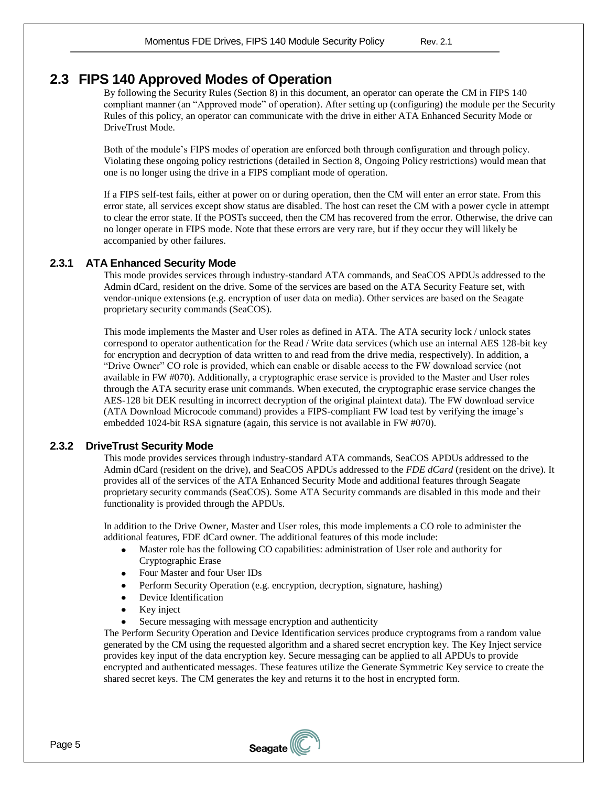### <span id="page-4-0"></span>**2.3 FIPS 140 Approved Modes of Operation**

By following the Security Rules (Section 8) in this document, an operator can operate the CM in FIPS 140 compliant manner (an "Approved mode" of operation). After setting up (configuring) the module per the Security Rules of this policy, an operator can communicate with the drive in either ATA Enhanced Security Mode or DriveTrust Mode.

Both of the module's FIPS modes of operation are enforced both through configuration and through policy. Violating these ongoing policy restrictions (detailed in Section 8, Ongoing Policy restrictions) would mean that one is no longer using the drive in a FIPS compliant mode of operation.

If a FIPS self-test fails, either at power on or during operation, then the CM will enter an error state. From this error state, all services except show status are disabled. The host can reset the CM with a power cycle in attempt to clear the error state. If the POSTs succeed, then the CM has recovered from the error. Otherwise, the drive can no longer operate in FIPS mode. Note that these errors are very rare, but if they occur they will likely be accompanied by other failures.

#### <span id="page-4-1"></span>**2.3.1 ATA Enhanced Security Mode**

This mode provides services through industry-standard ATA commands, and SeaCOS APDUs addressed to the Admin dCard, resident on the drive. Some of the services are based on the ATA Security Feature set, with vendor-unique extensions (e.g. encryption of user data on media). Other services are based on the Seagate proprietary security commands (SeaCOS).

This mode implements the Master and User roles as defined in ATA. The ATA security lock / unlock states correspond to operator authentication for the Read / Write data services (which use an internal AES 128-bit key for encryption and decryption of data written to and read from the drive media, respectively). In addition, a "Drive Owner" CO role is provided, which can enable or disable access to the FW download service (not available in FW #070). Additionally, a cryptographic erase service is provided to the Master and User roles through the ATA security erase unit commands. When executed, the cryptographic erase service changes the AES-128 bit DEK resulting in incorrect decryption of the original plaintext data). The FW download service (ATA Download Microcode command) provides a FIPS-compliant FW load test by verifying the image's embedded 1024-bit RSA signature (again, this service is not available in FW #070).

#### <span id="page-4-2"></span>**2.3.2 DriveTrust Security Mode**

This mode provides services through industry-standard ATA commands, SeaCOS APDUs addressed to the Admin dCard (resident on the drive), and SeaCOS APDUs addressed to the *FDE dCard* (resident on the drive). It provides all of the services of the ATA Enhanced Security Mode and additional features through Seagate proprietary security commands (SeaCOS). Some ATA Security commands are disabled in this mode and their functionality is provided through the APDUs.

In addition to the Drive Owner, Master and User roles, this mode implements a CO role to administer the additional features, FDE dCard owner. The additional features of this mode include:

- Master role has the following CO capabilities: administration of User role and authority for Cryptographic Erase
- Four Master and four User IDs
- Perform Security Operation (e.g. encryption, decryption, signature, hashing)
- $\bullet$ Device Identification
- $\bullet$ Key inject
- Secure messaging with message encryption and authenticity

The Perform Security Operation and Device Identification services produce cryptograms from a random value generated by the CM using the requested algorithm and a shared secret encryption key. The Key Inject service provides key input of the data encryption key. Secure messaging can be applied to all APDUs to provide encrypted and authenticated messages. These features utilize the Generate Symmetric Key service to create the shared secret keys. The CM generates the key and returns it to the host in encrypted form.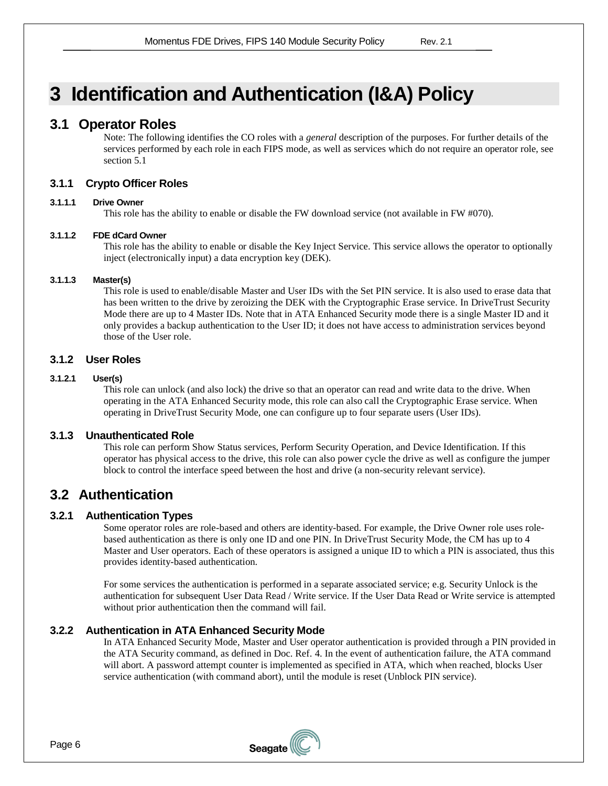# <span id="page-5-0"></span>**3 Identification and Authentication (I&A) Policy**

### <span id="page-5-1"></span>**3.1 Operator Roles**

Note: The following identifies the CO roles with a *general* description of the purposes. For further details of the services performed by each role in each FIPS mode, as well as services which do not require an operator role, see section [5.1](#page-8-1)

#### <span id="page-5-2"></span>**3.1.1 Crypto Officer Roles**

#### **3.1.1.1 Drive Owner**

This role has the ability to enable or disable the FW download service (not available in FW #070).

#### **3.1.1.2 FDE dCard Owner**

This role has the ability to enable or disable the Key Inject Service. This service allows the operator to optionally inject (electronically input) a data encryption key (DEK).

#### **3.1.1.3 Master(s)**

This role is used to enable/disable Master and User IDs with the Set PIN service. It is also used to erase data that has been written to the drive by zeroizing the DEK with the Cryptographic Erase service. In DriveTrust Security Mode there are up to 4 Master IDs. Note that in ATA Enhanced Security mode there is a single Master ID and it only provides a backup authentication to the User ID; it does not have access to administration services beyond those of the User role.

#### <span id="page-5-3"></span>**3.1.2 User Roles**

#### **3.1.2.1 User(s)**

This role can unlock (and also lock) the drive so that an operator can read and write data to the drive. When operating in the ATA Enhanced Security mode, this role can also call the Cryptographic Erase service. When operating in DriveTrust Security Mode, one can configure up to four separate users (User IDs).

#### <span id="page-5-4"></span>**3.1.3 Unauthenticated Role**

This role can perform Show Status services, Perform Security Operation, and Device Identification. If this operator has physical access to the drive, this role can also power cycle the drive as well as configure the jumper block to control the interface speed between the host and drive (a non-security relevant service).

### <span id="page-5-5"></span>**3.2 Authentication**

#### <span id="page-5-6"></span>**3.2.1 Authentication Types**

Some operator roles are role-based and others are identity-based. For example, the Drive Owner role uses rolebased authentication as there is only one ID and one PIN. In DriveTrust Security Mode, the CM has up to 4 Master and User operators. Each of these operators is assigned a unique ID to which a PIN is associated, thus this provides identity-based authentication.

For some services the authentication is performed in a separate associated service; e.g. Security Unlock is the authentication for subsequent User Data Read / Write service. If the User Data Read or Write service is attempted without prior authentication then the command will fail.

#### <span id="page-5-7"></span>**3.2.2 Authentication in ATA Enhanced Security Mode**

In ATA Enhanced Security Mode, Master and User operator authentication is provided through a PIN provided in the ATA Security command, as defined in Doc. Ref. [4.](#page-2-4) In the event of authentication failure, the ATA command will abort. A password attempt counter is implemented as specified in ATA, which when reached, blocks User service authentication (with command abort), until the module is reset (Unblock PIN service).

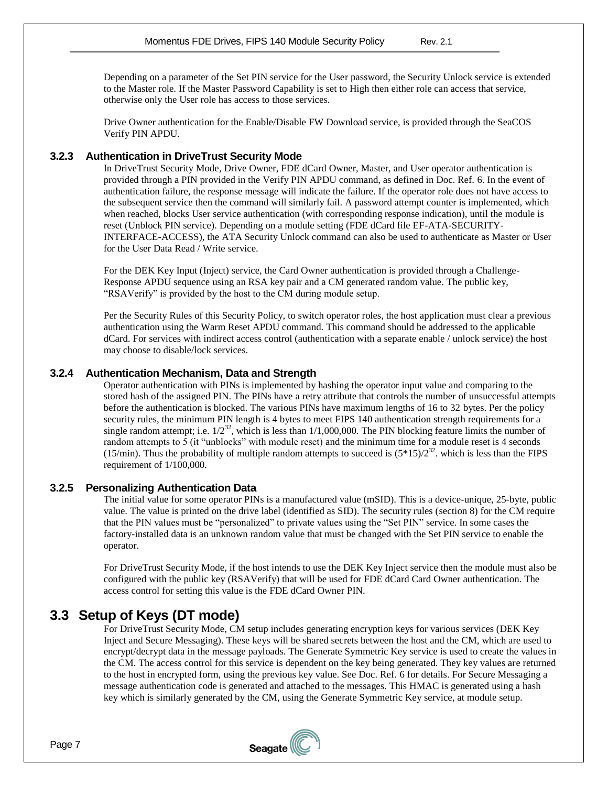Depending on a parameter of the Set PIN service for the User password, the Security Unlock service is extended to the Master role. If the Master Password Capability is set to High then either role can access that service, otherwise only the User role has access to those services.

Drive Owner authentication for the Enable/Disable FW Download service, is provided through the SeaCOS Verify PIN APDU.

#### <span id="page-6-0"></span>**3.2.3 Authentication in DriveTrust Security Mode**

In DriveTrust Security Mode, Drive Owner, FDE dCard Owner, Master, and User operator authentication is provided through a PIN provided in the Verify PIN APDU command, as defined in Doc. Ref. [6.](#page-2-6) In the event of authentication failure, the response message will indicate the failure. If the operator role does not have access to the subsequent service then the command will similarly fail. A password attempt counter is implemented, which when reached, blocks User service authentication (with corresponding response indication), until the module is reset (Unblock PIN service). Depending on a module setting (FDE dCard file EF-ATA-SECURITY-INTERFACE-ACCESS), the ATA Security Unlock command can also be used to authenticate as Master or User for the User Data Read / Write service.

For the DEK Key Input (Inject) service, the Card Owner authentication is provided through a Challenge-Response APDU sequence using an RSA key pair and a CM generated random value. The public key, "RSAVerify" is provided by the host to the CM during module setup.

Per the Security Rules of this Security Policy, to switch operator roles, the host application must clear a previous authentication using the Warm Reset APDU command. This command should be addressed to the applicable dCard. For services with indirect access control (authentication with a separate enable / unlock service) the host may choose to disable/lock services.

#### <span id="page-6-1"></span>**3.2.4 Authentication Mechanism, Data and Strength**

Operator authentication with PINs is implemented by hashing the operator input value and comparing to the stored hash of the assigned PIN. The PINs have a retry attribute that controls the number of unsuccessful attempts before the authentication is blocked. The various PINs have maximum lengths of 16 to 32 bytes. Per the policy security rules, the minimum PIN length is 4 bytes to meet FIPS 140 authentication strength requirements for a single random attempt; i.e.  $1/2^{32}$ , which is less than  $1/1,000,000$ . The PIN blocking feature limits the number of random attempts to  $\overline{5}$  (it "unblocks" with module reset) and the minimum time for a module reset is 4 seconds (15/min). Thus the probability of multiple random attempts to succeed is  $(5*15)/2^{32}$ . which is less than the FIPS requirement of 1/100,000.

#### <span id="page-6-2"></span>**3.2.5 Personalizing Authentication Data**

The initial value for some operator PINs is a manufactured value (mSID). This is a device-unique, 25-byte, public value. The value is printed on the drive label (identified as SID). The security rules (section [8\)](#page-19-0) for the CM require that the PIN values must be "personalized" to private values using the "Set PIN" service. In some cases the factory-installed data is an unknown random value that must be changed with the Set PIN service to enable the operator.

For DriveTrust Security Mode, if the host intends to use the DEK Key Inject service then the module must also be configured with the public key (RSAVerify) that will be used for FDE dCard Card Owner authentication. The access control for setting this value is the FDE dCard Owner PIN.

### <span id="page-6-3"></span>**3.3 Setup of Keys (DT mode)**

For DriveTrust Security Mode, CM setup includes generating encryption keys for various services (DEK Key Inject and Secure Messaging). These keys will be shared secrets between the host and the CM, which are used to encrypt/decrypt data in the message payloads. The Generate Symmetric Key service is used to create the values in the CM. The access control for this service is dependent on the key being generated. They key values are returned to the host in encrypted form, using the previous key value. See Doc. Ref. [6](#page-2-6) for details. For Secure Messaging a message authentication code is generated and attached to the messages. This HMAC is generated using a hash key which is similarly generated by the CM, using the Generate Symmetric Key service, at module setup.

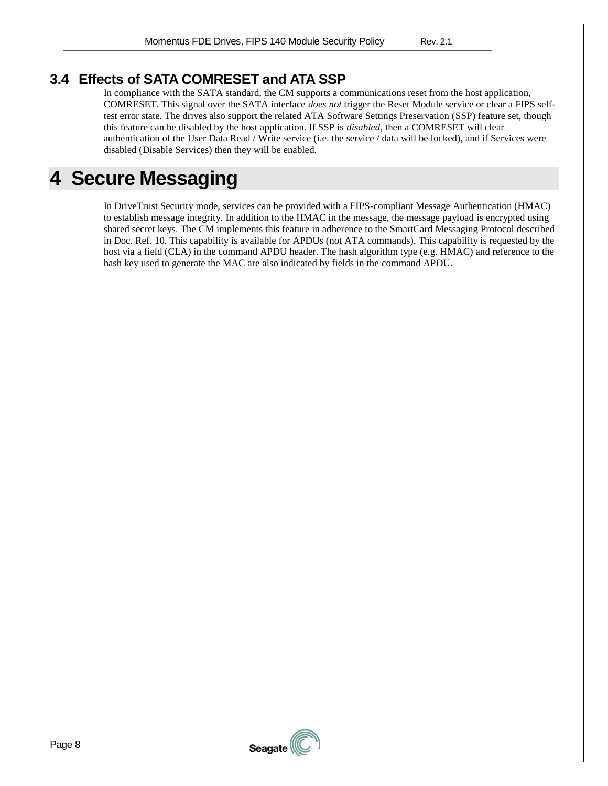# <span id="page-7-0"></span>**3.4 Effects of SATA COMRESET and ATA SSP**

In compliance with the SATA standard, the CM supports a communications reset from the host application, COMRESET. This signal over the SATA interface *does not* trigger the Reset Module service or clear a FIPS selftest error state. The drives also support the related ATA Software Settings Preservation (SSP) feature set, though this feature can be disabled by the host application. If SSP is *disabled,* then a COMRESET will clear authentication of the User Data Read / Write service (i.e. the service / data will be locked), and if Services were disabled (Disable Services) then they will be enabled.

# <span id="page-7-1"></span>**4 Secure Messaging**

In DriveTrust Security mode, services can be provided with a FIPS-compliant Message Authentication (HMAC) to establish message integrity. In addition to the HMAC in the message, the message payload is encrypted using shared secret keys. The CM implements this feature in adherence to the SmartCard Messaging Protocol described in Doc. Ref. [10.](#page-2-7) This capability is available for APDUs (not ATA commands). This capability is requested by the host via a field (CLA) in the command APDU header. The hash algorithm type (e.g. HMAC) and reference to the hash key used to generate the MAC are also indicated by fields in the command APDU.

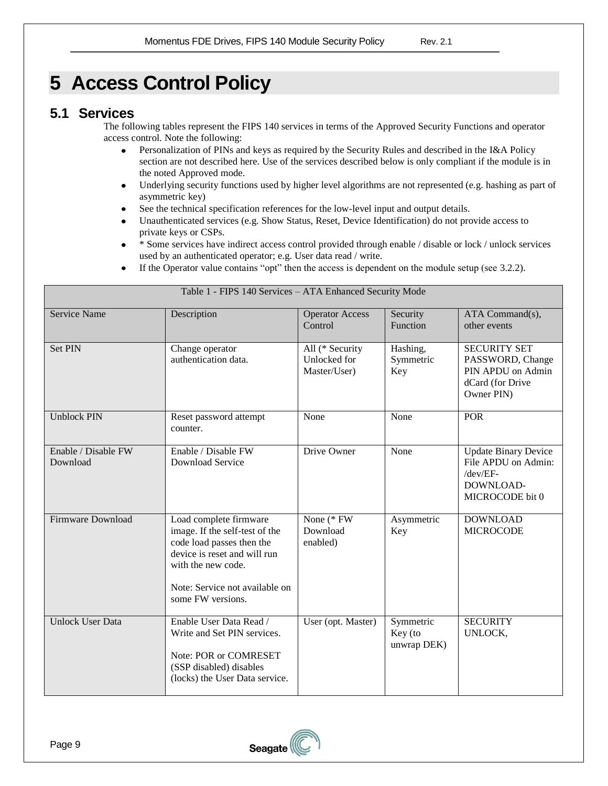# <span id="page-8-0"></span>**5 Access Control Policy**

# <span id="page-8-1"></span>**5.1 Services**

The following tables represent the FIPS 140 services in terms of the Approved Security Functions and operator access control. Note the following:

- Personalization of PINs and keys as required by the Security Rules and described in the I&A Policy  $\bullet$ section are not described here. Use of the services described below is only compliant if the module is in the noted Approved mode.
- Underlying security functions used by higher level algorithms are not represented (e.g. hashing as part of  $\bullet$ asymmetric key)
- See the technical specification references for the low-level input and output details.  $\bullet$
- Unauthenticated services (e.g. Show Status, Reset, Device Identification) do not provide access to  $\bullet$ private keys or CSPs.
- \* Some services have indirect access control provided through enable / disable or lock / unlock services used by an authenticated operator; e.g. User data read / write.
- If the Operator value contains "opt" then the access is dependent on the module setup (see [3.2.2\)](#page-5-7).

|                                 | Table 1 - FIPS 140 Services - ATA Enhanced Security Mode                                                                                                                                           |                                                 |                                     |                                                                                                |  |  |  |  |  |  |  |
|---------------------------------|----------------------------------------------------------------------------------------------------------------------------------------------------------------------------------------------------|-------------------------------------------------|-------------------------------------|------------------------------------------------------------------------------------------------|--|--|--|--|--|--|--|
| <b>Service Name</b>             | Description                                                                                                                                                                                        | <b>Operator Access</b><br>Control               | Security<br>Function                | ATA Command(s),<br>other events                                                                |  |  |  |  |  |  |  |
| <b>Set PIN</b>                  | Change operator<br>authentication data.                                                                                                                                                            | All (* Security<br>Unlocked for<br>Master/User) | Hashing,<br>Symmetric<br>Key        | <b>SECURITY SET</b><br>PASSWORD, Change<br>PIN APDU on Admin<br>dCard (for Drive<br>Owner PIN) |  |  |  |  |  |  |  |
| <b>Unblock PIN</b>              | Reset password attempt<br>counter.                                                                                                                                                                 | None                                            | None                                | <b>POR</b>                                                                                     |  |  |  |  |  |  |  |
| Enable / Disable FW<br>Download | Enable / Disable FW<br>Download Service                                                                                                                                                            | Drive Owner                                     | None                                | <b>Update Binary Device</b><br>File APDU on Admin:<br>/dev/EF-<br>DOWNLOAD-<br>MICROCODE bit 0 |  |  |  |  |  |  |  |
| Firmware Download               | Load complete firmware<br>image. If the self-test of the<br>code load passes then the<br>device is reset and will run<br>with the new code.<br>Note: Service not available on<br>some FW versions. | None (* FW<br>Download<br>enabled)              | Asymmetric<br>Key                   | <b>DOWNLOAD</b><br><b>MICROCODE</b>                                                            |  |  |  |  |  |  |  |
| <b>Unlock User Data</b>         | Enable User Data Read /<br>Write and Set PIN services.<br>Note: POR or COMRESET<br>(SSP disabled) disables<br>(locks) the User Data service.                                                       | User (opt. Master)                              | Symmetric<br>Key (to<br>unwrap DEK) | <b>SECURITY</b><br>UNLOCK,                                                                     |  |  |  |  |  |  |  |

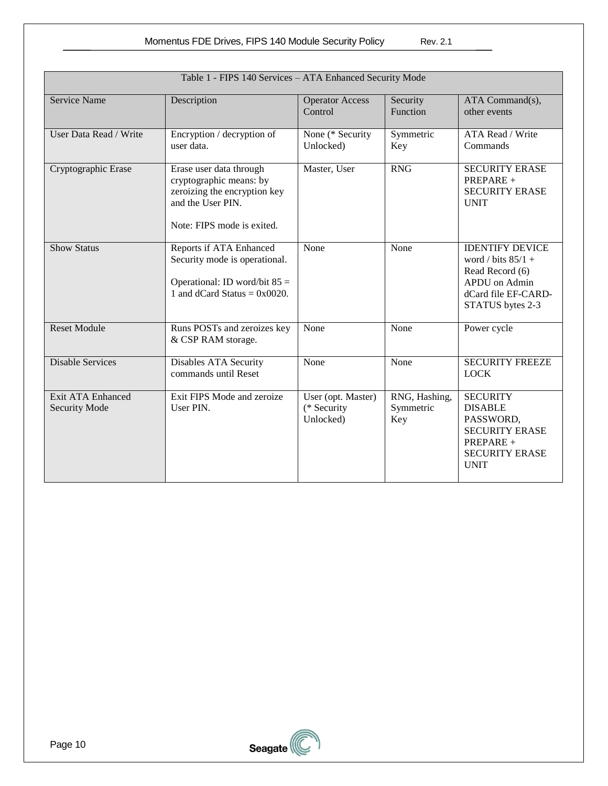| Table 1 - FIPS 140 Services - ATA Enhanced Security Mode |                                                                                                                                       |                                                |                                   |                                                                                                                               |  |  |  |  |  |  |
|----------------------------------------------------------|---------------------------------------------------------------------------------------------------------------------------------------|------------------------------------------------|-----------------------------------|-------------------------------------------------------------------------------------------------------------------------------|--|--|--|--|--|--|
| <b>Service Name</b>                                      | Description                                                                                                                           | <b>Operator Access</b><br>Control              | Security<br>Function              | ATA Command(s),<br>other events                                                                                               |  |  |  |  |  |  |
| User Data Read / Write                                   | Encryption / decryption of<br>user data.                                                                                              | None (* Security<br>Unlocked)                  | Symmetric<br>Key                  | ATA Read / Write<br>Commands                                                                                                  |  |  |  |  |  |  |
| Cryptographic Erase                                      | Erase user data through<br>cryptographic means: by<br>zeroizing the encryption key<br>and the User PIN.<br>Note: FIPS mode is exited. | Master, User                                   | <b>RNG</b>                        | <b>SECURITY ERASE</b><br>PREPARE +<br><b>SECURITY ERASE</b><br><b>UNIT</b>                                                    |  |  |  |  |  |  |
| <b>Show Status</b>                                       | Reports if ATA Enhanced<br>Security mode is operational.<br>Operational: ID word/bit $85 =$<br>1 and dCard Status = $0x0020$ .        | None                                           | None                              | <b>IDENTIFY DEVICE</b><br>word / bits $85/1 +$<br>Read Record (6)<br>APDU on Admin<br>dCard file EF-CARD-<br>STATUS bytes 2-3 |  |  |  |  |  |  |
| <b>Reset Module</b>                                      | Runs POSTs and zeroizes key<br>& CSP RAM storage.                                                                                     | None                                           | None                              | Power cycle                                                                                                                   |  |  |  |  |  |  |
| <b>Disable Services</b>                                  | Disables ATA Security<br>commands until Reset                                                                                         | None                                           | None                              | <b>SECURITY FREEZE</b><br><b>LOCK</b>                                                                                         |  |  |  |  |  |  |
| <b>Exit ATA Enhanced</b><br><b>Security Mode</b>         | Exit FIPS Mode and zeroize<br>User PIN.                                                                                               | User (opt. Master)<br>(* Security<br>Unlocked) | RNG, Hashing,<br>Symmetric<br>Key | <b>SECURITY</b><br><b>DISABLE</b><br>PASSWORD,<br><b>SECURITY ERASE</b><br>PREPARE +<br><b>SECURITY ERASE</b><br><b>UNIT</b>  |  |  |  |  |  |  |

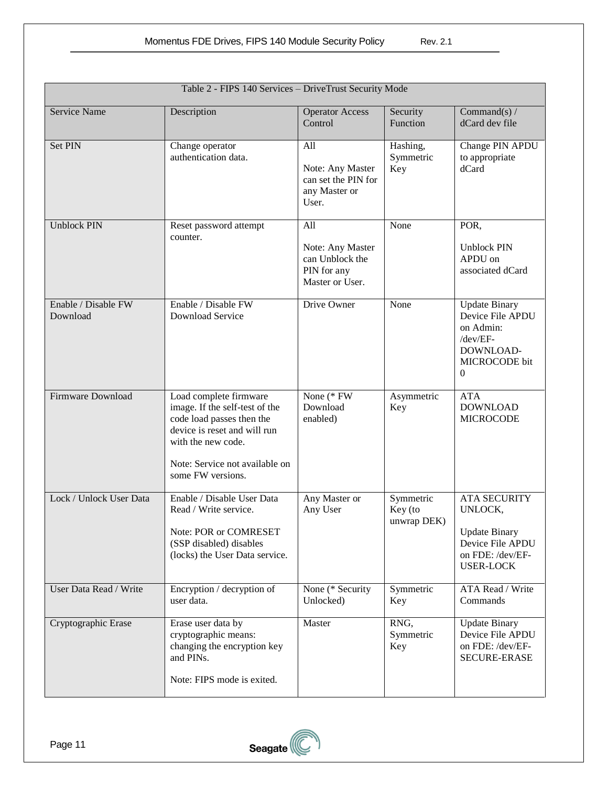|                                 | Table 2 - FIPS 140 Services - DriveTrust Security Mode                                                                                                                                             |                                                                              |                                     |                                                                                                                    |
|---------------------------------|----------------------------------------------------------------------------------------------------------------------------------------------------------------------------------------------------|------------------------------------------------------------------------------|-------------------------------------|--------------------------------------------------------------------------------------------------------------------|
| <b>Service Name</b>             | Description                                                                                                                                                                                        | <b>Operator Access</b><br>Control                                            | Security<br>Function                | Command(s) $/$<br>dCard dev file                                                                                   |
| Set PIN                         | Change operator<br>authentication data.                                                                                                                                                            | All<br>Note: Any Master<br>can set the PIN for<br>any Master or<br>User.     | Hashing,<br>Symmetric<br>Key        | Change PIN APDU<br>to appropriate<br>dCard                                                                         |
| <b>Unblock PIN</b>              | Reset password attempt<br>counter.                                                                                                                                                                 | All<br>Note: Any Master<br>can Unblock the<br>PIN for any<br>Master or User. | None                                | POR,<br><b>Unblock PIN</b><br>APDU on<br>associated dCard                                                          |
| Enable / Disable FW<br>Download | Enable / Disable FW<br>Download Service                                                                                                                                                            | Drive Owner                                                                  | None                                | <b>Update Binary</b><br>Device File APDU<br>on Admin:<br>/dev/EF-<br>DOWNLOAD-<br>MICROCODE bit<br>$\overline{0}$  |
| Firmware Download               | Load complete firmware<br>image. If the self-test of the<br>code load passes then the<br>device is reset and will run<br>with the new code.<br>Note: Service not available on<br>some FW versions. | None (* FW<br>Download<br>enabled)                                           | Asymmetric<br>Key                   | <b>ATA</b><br><b>DOWNLOAD</b><br><b>MICROCODE</b>                                                                  |
| Lock / Unlock User Data         | Enable / Disable User Data<br>Read / Write service.<br>Note: POR or COMRESET<br>(SSP disabled) disables<br>(locks) the User Data service.                                                          | Any Master or<br>Any User                                                    | Symmetric<br>Key (to<br>unwrap DEK) | <b>ATA SECURITY</b><br>UNLOCK,<br><b>Update Binary</b><br>Device File APDU<br>on FDE: /dev/EF-<br><b>USER-LOCK</b> |
| User Data Read / Write          | Encryption / decryption of<br>user data.                                                                                                                                                           | None (* Security<br>Unlocked)                                                | Symmetric<br>Key                    | <b>ATA Read / Write</b><br>Commands                                                                                |
| Cryptographic Erase             | Erase user data by<br>cryptographic means:<br>changing the encryption key<br>and PINs.<br>Note: FIPS mode is exited.                                                                               | Master                                                                       | RNG,<br>Symmetric<br>Key            | <b>Update Binary</b><br>Device File APDU<br>on FDE: /dev/EF-<br><b>SECURE-ERASE</b>                                |

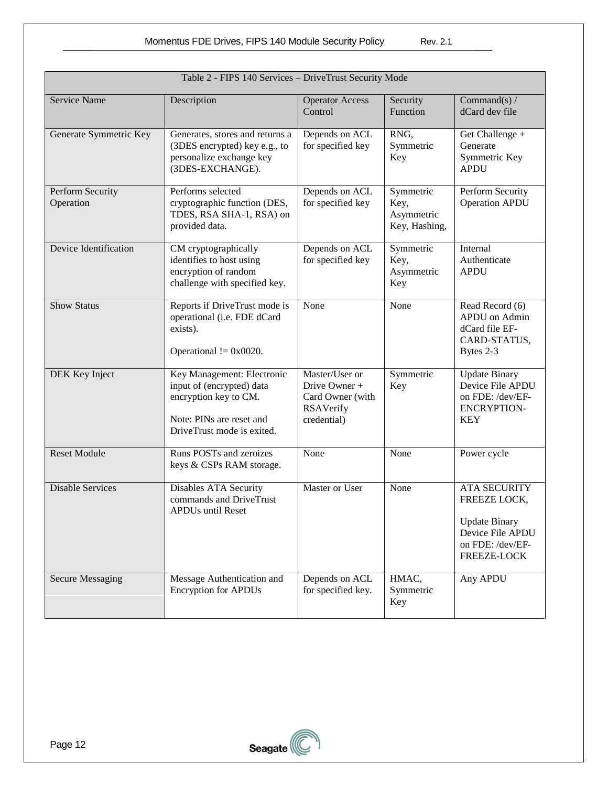|                               | Table 2 - FIPS 140 Services - DriveTrust Security Mode                                                                                     |                                                                                 |                                                  |                                                                                                                    |
|-------------------------------|--------------------------------------------------------------------------------------------------------------------------------------------|---------------------------------------------------------------------------------|--------------------------------------------------|--------------------------------------------------------------------------------------------------------------------|
| Service Name                  | Description                                                                                                                                | <b>Operator Access</b><br>Control                                               | Security<br>Function                             | Command(s) $/$<br>dCard dev file                                                                                   |
| Generate Symmetric Key        | Generates, stores and returns a<br>(3DES encrypted) key e.g., to<br>personalize exchange key<br>(3DES-EXCHANGE).                           | Depends on ACL<br>for specified key                                             | RNG,<br>Symmetric<br>Key                         | Get Challenge +<br>Generate<br>Symmetric Key<br><b>APDU</b>                                                        |
| Perform Security<br>Operation | Performs selected<br>cryptographic function (DES,<br>TDES, RSA SHA-1, RSA) on<br>provided data.                                            | Depends on ACL<br>for specified key                                             | Symmetric<br>Key,<br>Asymmetric<br>Key, Hashing, | Perform Security<br><b>Operation APDU</b>                                                                          |
| Device Identification         | CM cryptographically<br>identifies to host using<br>encryption of random<br>challenge with specified key.                                  | Depends on ACL<br>for specified key                                             | Symmetric<br>Key,<br>Asymmetric<br>Key           | Internal<br>Authenticate<br><b>APDU</b>                                                                            |
| <b>Show Status</b>            | Reports if DriveTrust mode is<br>operational (i.e. FDE dCard<br>exists).<br>Operational $!=$ 0x0020.                                       | None                                                                            | None                                             | Read Record (6)<br>APDU on Admin<br>dCard file EF-<br>CARD-STATUS,<br>Bytes 2-3                                    |
| DEK Key Inject                | Key Management: Electronic<br>input of (encrypted) data<br>encryption key to CM.<br>Note: PINs are reset and<br>DriveTrust mode is exited. | Master/User or<br>Drive Owner +<br>Card Owner (with<br>RSAVerify<br>credential) | Symmetric<br>Key                                 | <b>Update Binary</b><br>Device File APDU<br>on FDE: /dev/EF-<br><b>ENCRYPTION-</b><br><b>KEY</b>                   |
| <b>Reset Module</b>           | Runs POSTs and zeroizes<br>keys & CSPs RAM storage.                                                                                        | None                                                                            | None                                             | Power cycle                                                                                                        |
| <b>Disable Services</b>       | Disables ATA Security<br>commands and DriveTrust<br><b>APDUs until Reset</b>                                                               | Master or User                                                                  | None                                             | <b>ATA SECURITY</b><br>FREEZE LOCK,<br><b>Update Binary</b><br>Device File APDU<br>on FDE: /dev/EF-<br>FREEZE-LOCK |
| <b>Secure Messaging</b>       | Message Authentication and<br><b>Encryption for APDUs</b>                                                                                  | Depends on ACL<br>for specified key.                                            | HMAC,<br>Symmetric<br>Key                        | Any APDU                                                                                                           |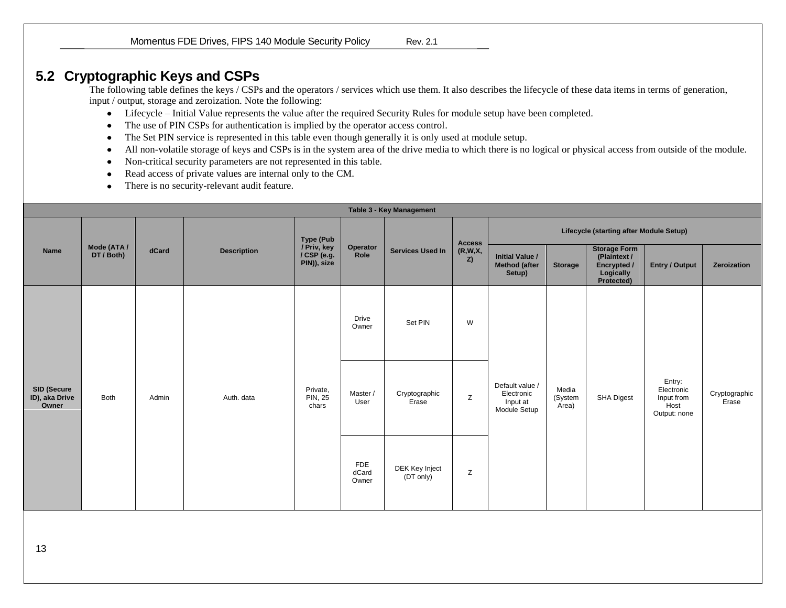Momentus FDE Drives, FIPS 140 Module Security Policy Rev. 2.1

# **5.2 Cryptographic Keys and CSPs**

The following table defines the keys / CSPs and the operators / services which use them. It also describes the lifecycle of these data items in terms of generation, input / output, storage and zeroization. Note the following:

- Lifecycle Initial Value represents the value after the required Security Rules for module setup have been completed.  $\bullet$
- The use of PIN CSPs for authentication is implied by the operator access control.  $\bullet$
- The Set PIN service is represented in this table even though generally it is only used at module setup.
- All non-volatile storage of keys and CSPs is in the system area of the drive media to which there is no logical or physical access from outside of the module.  $\bullet$
- Non-critical security parameters are not represented in this table.
- Read access of private values are internal only to the CM.
- There is no security-relevant audit feature.  $\bullet$

<span id="page-12-0"></span>

|                                        | Table 3 - Key Management  |       |                    |                                                               |                              |                             |                                |                                                           |                           |                                                                               |                                                            |                        |  |
|----------------------------------------|---------------------------|-------|--------------------|---------------------------------------------------------------|------------------------------|-----------------------------|--------------------------------|-----------------------------------------------------------|---------------------------|-------------------------------------------------------------------------------|------------------------------------------------------------|------------------------|--|
|                                        |                           |       | <b>Description</b> | <b>Type (Pub</b><br>/ Priv, key<br>/ CSP (e.g.<br>PIN)), size |                              | <b>Services Used In</b>     | <b>Access</b><br>(R,W,X,<br>Z) | Lifecycle (starting after Module Setup)                   |                           |                                                                               |                                                            |                        |  |
| Name                                   | Mode (ATA /<br>DT / Both) | dCard |                    |                                                               | Operator<br>Role             |                             |                                | <b>Initial Value /</b><br><b>Method (after</b><br>Setup)  | <b>Storage</b>            | <b>Storage Form</b><br>(Plaintext /<br>Encrypted /<br>Logically<br>Protected) | Entry / Output                                             | Zeroization            |  |
|                                        | Both                      | Admin | Auth. data         | Private,<br><b>PIN, 25</b><br>chars                           | <b>Drive</b><br>Owner        | Set PIN                     | W                              | Default value /<br>Electronic<br>Input at<br>Module Setup |                           |                                                                               |                                                            |                        |  |
| SID (Secure<br>ID), aka Drive<br>Owner |                           |       |                    |                                                               | Master /<br>User             | Cryptographic<br>Erase      | Z                              |                                                           | Media<br>(System<br>Area) | SHA Digest                                                                    | Entry:<br>Electronic<br>Input from<br>Host<br>Output: none | Cryptographic<br>Erase |  |
|                                        |                           |       |                    |                                                               | <b>FDE</b><br>dCard<br>Owner | DEK Key Inject<br>(DT only) | Z                              |                                                           |                           |                                                                               |                                                            |                        |  |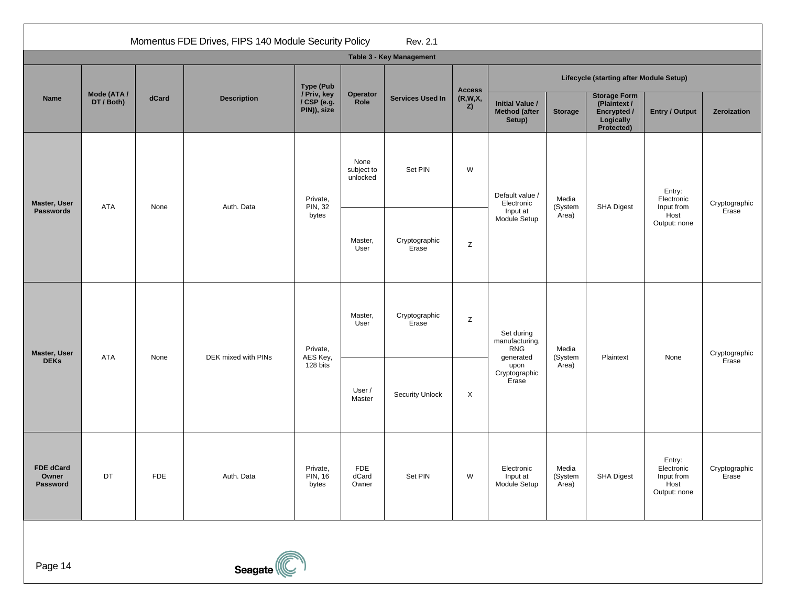|                                       | Momentus FDE Drives, FIPS 140 Module Security Policy<br>Rev. 2.1 |            |                     |                                                               |                                |                                             |                                            |                                                           |                           |                                                                               |                                                            |                        |  |
|---------------------------------------|------------------------------------------------------------------|------------|---------------------|---------------------------------------------------------------|--------------------------------|---------------------------------------------|--------------------------------------------|-----------------------------------------------------------|---------------------------|-------------------------------------------------------------------------------|------------------------------------------------------------|------------------------|--|
|                                       |                                                                  |            |                     |                                                               |                                | Table 3 - Key Management                    |                                            |                                                           |                           |                                                                               |                                                            |                        |  |
|                                       |                                                                  |            |                     | <b>Type (Pub</b><br>/ Priv, key<br>/ CSP (e.g.<br>PIN)), size |                                | Operator<br><b>Services Used In</b><br>Role | <b>Access</b>                              | Lifecycle (starting after Module Setup)                   |                           |                                                                               |                                                            |                        |  |
| Name                                  | Mode (ATA /<br>DT / Both)                                        | dCard      | <b>Description</b>  |                                                               |                                |                                             | (R,W,X,<br>Z)                              | <b>Initial Value /</b><br><b>Method (after</b><br>Setup)  | <b>Storage</b>            | <b>Storage Form</b><br>(Plaintext /<br>Encrypted /<br>Logically<br>Protected) | <b>Entry / Output</b>                                      | Zeroization            |  |
| Master, User                          | <b>ATA</b>                                                       | None       | Auth. Data          | Private,<br><b>PIN, 32</b><br>bytes                           | None<br>subject to<br>unlocked | Set PIN                                     | W                                          | Default value /<br>Electronic<br>Input at<br>Module Setup | Media<br>(System          | <b>SHA Digest</b>                                                             | Entry:<br>Electronic<br>Input from                         | Cryptographic          |  |
| <b>Passwords</b>                      |                                                                  |            |                     |                                                               | Master,<br>User                | Cryptographic<br>Erase                      | Z                                          |                                                           | Area)                     |                                                                               | Host<br>Output: none                                       | Erase                  |  |
| Master, User                          | <b>ATA</b>                                                       |            | Private,            | Master,<br>User                                               | Cryptographic<br>Erase         | Z                                           | Set during<br>manufacturing,<br><b>RNG</b> | Media<br>(System                                          | Plaintext                 |                                                                               | Cryptographic                                              |                        |  |
| <b>DEKs</b>                           |                                                                  | None       | DEK mixed with PINs | AES Key,<br>128 bits                                          | User /<br>Master               | <b>Security Unlock</b>                      | X                                          | generated<br>upon<br>Cryptographic<br>Erase               | Area)                     |                                                                               | None                                                       | Erase                  |  |
| <b>FDE dCard</b><br>Owner<br>Password | DT                                                               | <b>FDE</b> | Auth. Data          | Private,<br><b>PIN, 16</b><br>bytes                           | <b>FDE</b><br>dCard<br>Owner   | Set PIN                                     | W                                          | Electronic<br>Input at<br>Module Setup                    | Media<br>(System<br>Area) | SHA Digest                                                                    | Entry:<br>Electronic<br>Input from<br>Host<br>Output: none | Cryptographic<br>Erase |  |

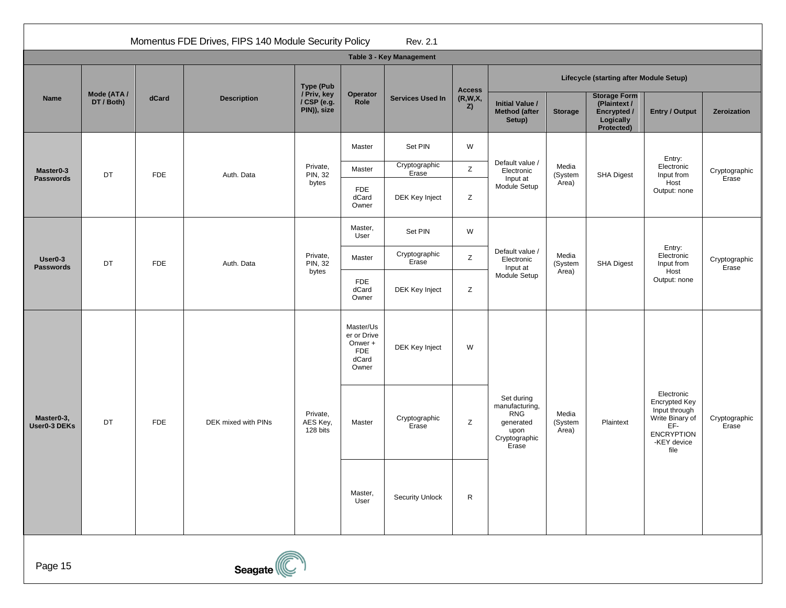|                                         | Momentus FDE Drives, FIPS 140 Module Security Policy<br>Rev. 2.1 |                     |                                  |                                                                     |                              |                          |                                                                                           |                                                           |                           |                                                                                                                    |                                            |                        |  |
|-----------------------------------------|------------------------------------------------------------------|---------------------|----------------------------------|---------------------------------------------------------------------|------------------------------|--------------------------|-------------------------------------------------------------------------------------------|-----------------------------------------------------------|---------------------------|--------------------------------------------------------------------------------------------------------------------|--------------------------------------------|------------------------|--|
|                                         |                                                                  |                     |                                  |                                                                     |                              | Table 3 - Key Management |                                                                                           |                                                           |                           |                                                                                                                    |                                            |                        |  |
|                                         |                                                                  |                     |                                  | <b>Type (Pub</b>                                                    |                              |                          | <b>Access</b>                                                                             | Lifecycle (starting after Module Setup)                   |                           |                                                                                                                    |                                            |                        |  |
| <b>Name</b>                             | Mode (ATA /<br>DT / Both)                                        | dCard               | <b>Description</b>               | / Priv, key<br>/ CSP (e.g.<br>PIN)), size                           | Operator<br>Role             | <b>Services Used In</b>  | (R,W,X,<br>Z)                                                                             | <b>Initial Value /</b><br><b>Method</b> (after<br>Setup)  | <b>Storage</b>            | <b>Storage Form</b><br>(Plaintext /<br>Encrypted /<br>Logically<br>Protected)                                      | <b>Entry / Output</b>                      | Zeroization            |  |
|                                         |                                                                  |                     |                                  |                                                                     | Master                       | Set PIN                  | W                                                                                         |                                                           |                           |                                                                                                                    | Entry:                                     |                        |  |
| Master <sub>0-3</sub>                   | DT                                                               | <b>FDE</b>          | Auth. Data                       | Private,<br>PIN, 32                                                 | Master                       | Cryptographic<br>Erase   | Z                                                                                         | Default value /<br>Electronic                             | Media<br>(System          | SHA Digest                                                                                                         | Electronic<br>Input from                   | Cryptographic          |  |
| <b>Passwords</b>                        |                                                                  |                     |                                  | bytes                                                               | <b>FDE</b><br>dCard<br>Owner | DEK Key Inject           | Z                                                                                         | Input at<br>Module Setup                                  | Area)                     |                                                                                                                    | Host<br>Output: none                       | Erase                  |  |
|                                         |                                                                  |                     |                                  |                                                                     | Master,<br>User              | Set PIN                  | W                                                                                         |                                                           |                           |                                                                                                                    | Entry:<br>Electronic<br>Input from<br>Host | Cryptographic<br>Erase |  |
| User <sub>0-3</sub><br><b>Passwords</b> | DT                                                               | <b>FDE</b>          | Auth. Data                       | Private,<br><b>PIN, 32</b><br>bytes                                 | Master                       | Cryptographic<br>Erase   | Z                                                                                         | Default value /<br>Electronic<br>Input at<br>Module Setup | Media<br>(System<br>Area) | SHA Digest                                                                                                         |                                            |                        |  |
|                                         |                                                                  |                     |                                  |                                                                     | <b>FDE</b><br>dCard<br>Owner | DEK Key Inject           | Z                                                                                         |                                                           |                           |                                                                                                                    | Output: none                               |                        |  |
|                                         | DT<br><b>FDE</b>                                                 |                     |                                  | Master/Us<br>er or Drive<br>Onwer +<br><b>FDE</b><br>dCard<br>Owner | DEK Key Inject               | W                        |                                                                                           |                                                           |                           | Electronic<br>Encrypted Key<br>Input through<br>Write Binary of<br>EF-<br><b>ENCRYPTION</b><br>-KEY device<br>file | Cryptographic<br>Erase                     |                        |  |
| Master0-3,<br>User0-3 DEKs              |                                                                  | DEK mixed with PINs | Private,<br>AES Key,<br>128 bits | Master                                                              | Cryptographic<br>Erase       | Z                        | Set during<br>manufacturing,<br><b>RNG</b><br>generated<br>upon<br>Cryptographic<br>Erase | Media<br>(System<br>Area)                                 | Plaintext                 |                                                                                                                    |                                            |                        |  |
|                                         |                                                                  |                     |                                  |                                                                     | Master,<br>User              | <b>Security Unlock</b>   | $\mathsf{R}$                                                                              |                                                           |                           |                                                                                                                    |                                            |                        |  |
| Page 15                                 |                                                                  |                     | Seagate                          |                                                                     |                              |                          |                                                                                           |                                                           |                           |                                                                                                                    |                                            |                        |  |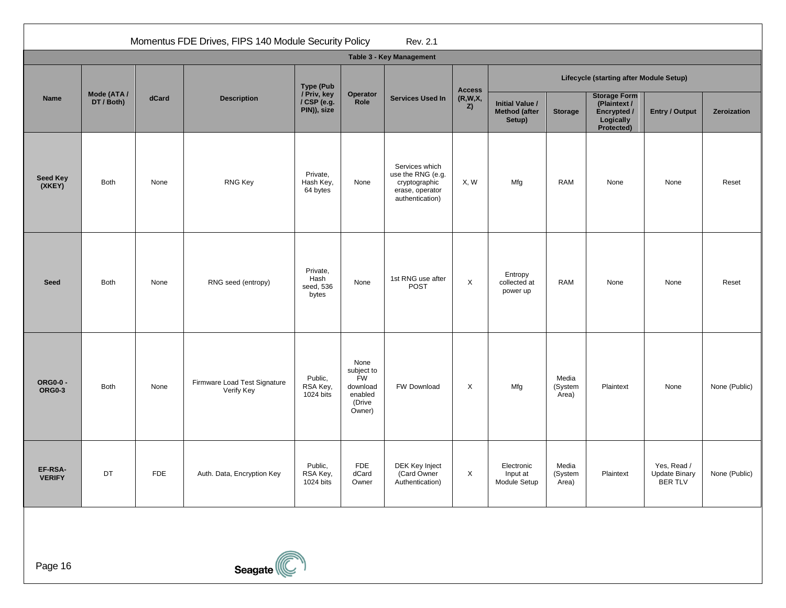|                           | Momentus FDE Drives, FIPS 140 Module Security Policy<br>Rev. 2.1 |            |                                            |                                                               |                                                                            |                                                                                            |               |                                                          |                           |                                                                               |                                                |               |  |
|---------------------------|------------------------------------------------------------------|------------|--------------------------------------------|---------------------------------------------------------------|----------------------------------------------------------------------------|--------------------------------------------------------------------------------------------|---------------|----------------------------------------------------------|---------------------------|-------------------------------------------------------------------------------|------------------------------------------------|---------------|--|
|                           | Table 3 - Key Management                                         |            |                                            |                                                               |                                                                            |                                                                                            |               |                                                          |                           |                                                                               |                                                |               |  |
|                           |                                                                  |            | <b>Description</b>                         | <b>Type (Pub</b><br>/ Priv, key<br>/ CSP (e.g.<br>PIN)), size | Operator<br>Role                                                           | <b>Services Used In</b>                                                                    | <b>Access</b> | Lifecycle (starting after Module Setup)                  |                           |                                                                               |                                                |               |  |
| Name                      | Mode (ATA /<br>DT / Both)                                        | dCard      |                                            |                                                               |                                                                            |                                                                                            | (R,W,X,<br>Z) | <b>Initial Value /</b><br><b>Method (after</b><br>Setup) | <b>Storage</b>            | <b>Storage Form</b><br>(Plaintext /<br>Encrypted /<br>Logically<br>Protected) | <b>Entry / Output</b>                          | Zeroization   |  |
| <b>Seed Key</b><br>(XKEY) | <b>Both</b>                                                      | None       | <b>RNG Key</b>                             | Private,<br>Hash Key,<br>64 bytes                             | None                                                                       | Services which<br>use the RNG (e.g.<br>cryptographic<br>erase, operator<br>authentication) | X, W          | Mfg                                                      | <b>RAM</b>                | None                                                                          | None                                           | Reset         |  |
| <b>Seed</b>               | <b>Both</b>                                                      | None       | RNG seed (entropy)                         | Private,<br>Hash<br>seed, 536<br>bytes                        | None                                                                       | 1st RNG use after<br>POST                                                                  | X             | Entropy<br>collected at<br>power up                      | <b>RAM</b>                | None                                                                          | None                                           | Reset         |  |
| <b>ORG0-0 -</b><br>ORG0-3 | Both                                                             | None       | Firmware Load Test Signature<br>Verify Key | Public,<br>RSA Key,<br>1024 bits                              | None<br>subject to<br><b>FW</b><br>download<br>enabled<br>(Drive<br>Owner) | FW Download                                                                                | X             | Mfg                                                      | Media<br>(System<br>Area) | Plaintext                                                                     | None                                           | None (Public) |  |
| EF-RSA-<br><b>VERIFY</b>  | DT                                                               | <b>FDE</b> | Auth. Data, Encryption Key                 | Public,<br>RSA Key,<br>1024 bits                              | <b>FDE</b><br>dCard<br>Owner                                               | DEK Key Inject<br>(Card Owner<br>Authentication)                                           | X             | Electronic<br>Input at<br>Module Setup                   | Media<br>(System<br>Area) | Plaintext                                                                     | Yes, Read /<br><b>Update Binary</b><br>BER TLV | None (Public) |  |

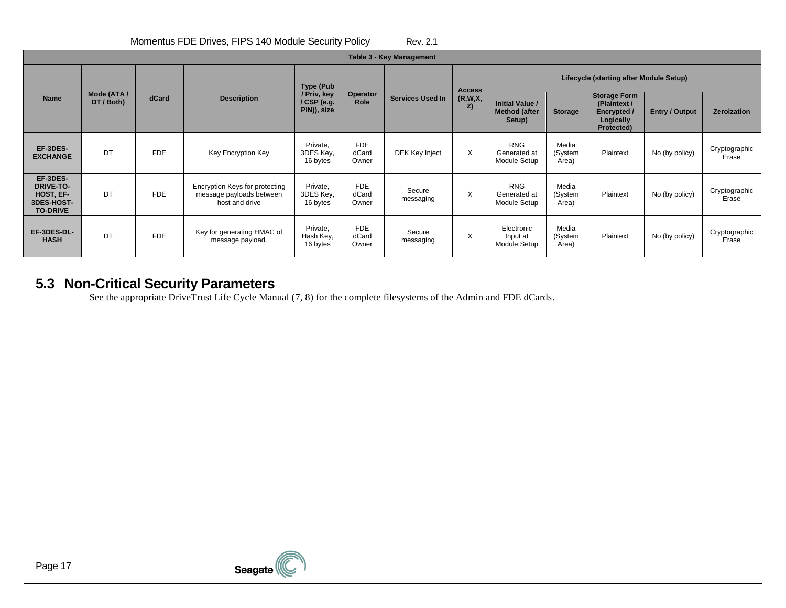|                                                                            | Momentus FDE Drives, FIPS 140 Module Security Policy<br>Rev. 2.1 |            |                                                                              |                                                          |                              |                         |               |                                                          |                           |                                                                                      |                       |                        |  |
|----------------------------------------------------------------------------|------------------------------------------------------------------|------------|------------------------------------------------------------------------------|----------------------------------------------------------|------------------------------|-------------------------|---------------|----------------------------------------------------------|---------------------------|--------------------------------------------------------------------------------------|-----------------------|------------------------|--|
|                                                                            | Table 3 - Key Management                                         |            |                                                                              |                                                          |                              |                         |               |                                                          |                           |                                                                                      |                       |                        |  |
| <b>Name</b>                                                                | Mode (ATA /<br>DT / Both)                                        |            | <b>Description</b>                                                           | Type (Pub<br>/ Priv, key<br>$/$ CSP (e.g.<br>PIN)), size | Operator<br>Role             | <b>Services Used In</b> | <b>Access</b> | Lifecycle (starting after Module Setup)                  |                           |                                                                                      |                       |                        |  |
|                                                                            |                                                                  | dCard      |                                                                              |                                                          |                              |                         | (R,W,X,<br>Z) | <b>Initial Value /</b><br><b>Method (after</b><br>Setup) | <b>Storage</b>            | <b>Storage Form</b><br>(Plaintext /<br><b>Encrypted</b> /<br>Logically<br>Protected) | <b>Entry / Output</b> | Zeroization            |  |
| EF-3DES-<br><b>EXCHANGE</b>                                                | DT                                                               | <b>FDE</b> | Key Encryption Key                                                           | Private.<br>3DES Key,<br>16 bytes                        | <b>FDE</b><br>dCard<br>Owner | DEK Key Inject          | $\times$      | <b>RNG</b><br>Generated at<br>Module Setup               | Media<br>(System<br>Area) | Plaintext                                                                            | No (by policy)        | Cryptographic<br>Erase |  |
| EF-3DES-<br><b>DRIVE-TO-</b><br>HOST, EF-<br>3DES-HOST-<br><b>TO-DRIVE</b> | DT                                                               | <b>FDE</b> | Encryption Keys for protecting<br>message payloads between<br>host and drive | Private.<br>3DES Key,<br>16 bytes                        | <b>FDE</b><br>dCard<br>Owner | Secure<br>messaging     | $\times$      | <b>RNG</b><br>Generated at<br>Module Setup               | Media<br>(System<br>Area) | Plaintext                                                                            | No (by policy)        | Cryptographic<br>Erase |  |
| EF-3DES-DL-<br><b>HASH</b>                                                 | DT                                                               | <b>FDE</b> | Key for generating HMAC of<br>message payload.                               | Private.<br>Hash Key,<br>16 bytes                        | <b>FDE</b><br>dCard<br>Owner | Secure<br>messaging     | $\times$      | Electronic<br>Input at<br>Module Setup                   | Media<br>(System<br>Area) | Plaintext                                                                            | No (by policy)        | Cryptographic<br>Erase |  |

# **5.3 Non-Critical Security Parameters**

<span id="page-16-0"></span>See the appropriate DriveTrust Life Cycle Manual [\(7,](#page-2-8) [8\)](#page-2-9) for the complete filesystems of the Admin and FDE dCards.

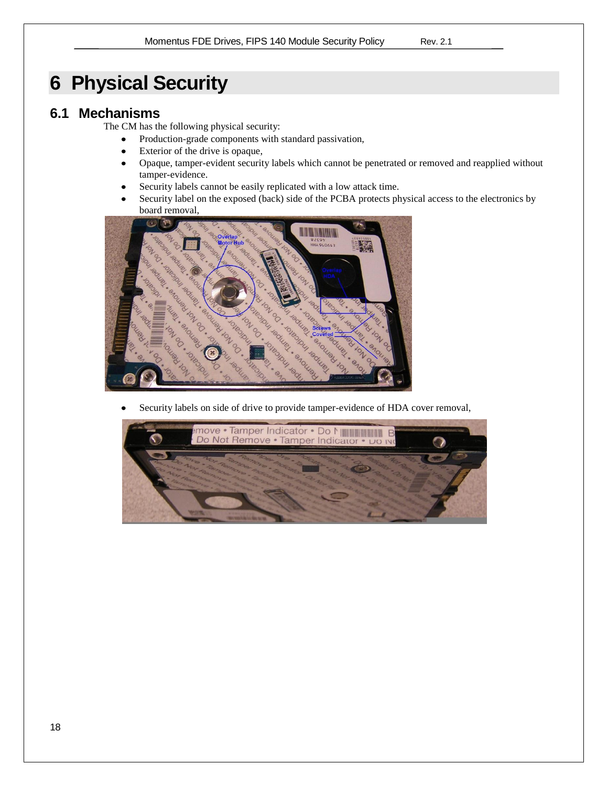# <span id="page-17-0"></span>**6 Physical Security**

# <span id="page-17-1"></span>**6.1 Mechanisms**

The CM has the following physical security:

- Production-grade components with standard passivation,  $\bullet$
- $\bullet$ Exterior of the drive is opaque,
- $\bullet$ Opaque, tamper-evident security labels which cannot be penetrated or removed and reapplied without tamper-evidence.
- Security labels cannot be easily replicated with a low attack time.  $\bullet$
- Security label on the exposed (back) side of the PCBA protects physical access to the electronics by  $\bullet$ board removal,



Security labels on side of drive to provide tamper-evidence of HDA cover removal,

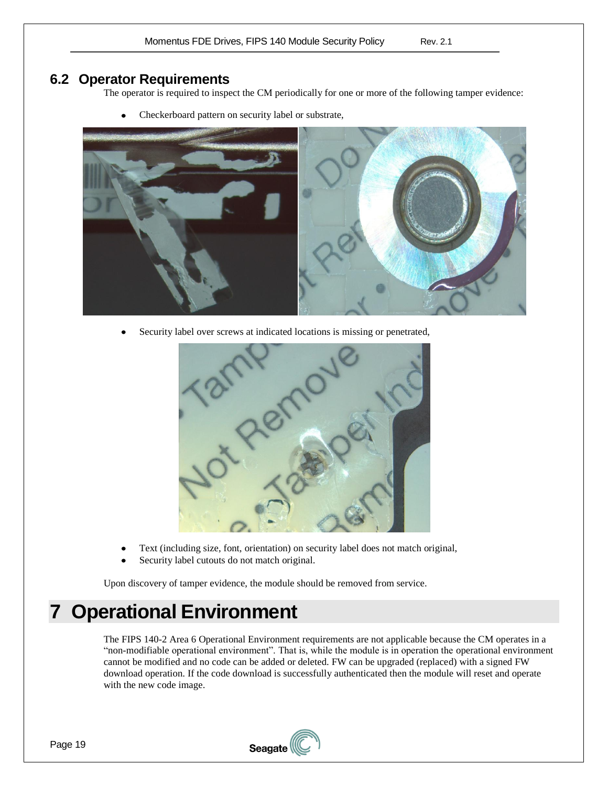### <span id="page-18-0"></span>**6.2 Operator Requirements**

The operator is required to inspect the CM periodically for one or more of the following tamper evidence:



 $\bullet$ Checkerboard pattern on security label or substrate,

Security label over screws at indicated locations is missing or penetrated,  $\bullet$ 



- Text (including size, font, orientation) on security label does not match original,
- Security label cutouts do not match original.

Upon discovery of tamper evidence, the module should be removed from service.

# <span id="page-18-1"></span>**7 Operational Environment**

The FIPS 140-2 Area 6 Operational Environment requirements are not applicable because the CM operates in a "non-modifiable operational environment". That is, while the module is in operation the operational environment cannot be modified and no code can be added or deleted. FW can be upgraded (replaced) with a signed FW download operation. If the code download is successfully authenticated then the module will reset and operate with the new code image.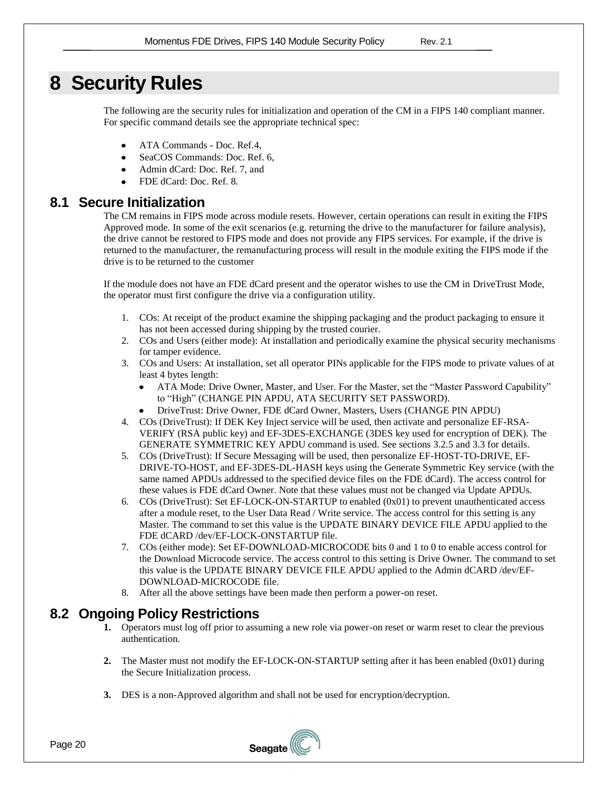# <span id="page-19-0"></span>**8 Security Rules**

The following are the security rules for initialization and operation of the CM in a FIPS 140 compliant manner. For specific command details see the appropriate technical spec:

- ATA Commands Doc. Ref[.4,](#page-2-4)
- SeaCOS Commands: Doc. Ref. [6,](#page-2-6)
- Admin dCard: Doc. Ref. [7,](#page-2-10) and
- FDE dCard: Doc. Ref. [8.](#page-2-11)

### <span id="page-19-1"></span>**8.1 Secure Initialization**

The CM remains in FIPS mode across module resets. However, certain operations can result in exiting the FIPS Approved mode. In some of the exit scenarios (e.g. returning the drive to the manufacturer for failure analysis), the drive cannot be restored to FIPS mode and does not provide any FIPS services. For example, if the drive is returned to the manufacturer, the remanufacturing process will result in the module exiting the FIPS mode if the drive is to be returned to the customer

If the module does not have an FDE dCard present and the operator wishes to use the CM in DriveTrust Mode, the operator must first configure the drive via a configuration utility.

- 1. COs: At receipt of the product examine the shipping packaging and the product packaging to ensure it has not been accessed during shipping by the trusted courier.
- 2. COs and Users (either mode): At installation and periodically examine the physical security mechanisms for tamper evidence.
- 3. COs and Users: At installation, set all operator PINs applicable for the FIPS mode to private values of at least 4 bytes length:
	- ATA Mode: Drive Owner, Master, and User. For the Master, set the "Master Password Capability" to "High" (CHANGE PIN APDU, ATA SECURITY SET PASSWORD).
	- DriveTrust: Drive Owner, FDE dCard Owner, Masters, Users (CHANGE PIN APDU)
- 4. COs (DriveTrust): If DEK Key Inject service will be used, then activate and personalize EF-RSA-VERIFY (RSA public key) and EF-3DES-EXCHANGE (3DES key used for encryption of DEK). The GENERATE SYMMETRIC KEY APDU command is used. See section[s 3.2.5](#page-6-2) and [3.3](#page-6-3) for details.
- 5. COs (DriveTrust): If Secure Messaging will be used, then personalize EF-HOST-TO-DRIVE, EF-DRIVE-TO-HOST, and EF-3DES-DL-HASH keys using the Generate Symmetric Key service (with the same named APDUs addressed to the specified device files on the FDE dCard). The access control for these values is FDE dCard Owner. Note that these values must not be changed via Update APDUs.
- 6. COs (DriveTrust): Set EF-LOCK-ON-STARTUP to enabled (0x01) to prevent unauthenticated access after a module reset, to the User Data Read / Write service. The access control for this setting is any Master. The command to set this value is the UPDATE BINARY DEVICE FILE APDU applied to the FDE dCARD /dev/EF-LOCK-ONSTARTUP file.
- 7. COs (either mode): Set EF-DOWNLOAD-MICROCODE bits 0 and 1 to 0 to enable access control for the Download Microcode service. The access control to this setting is Drive Owner. The command to set this value is the UPDATE BINARY DEVICE FILE APDU applied to the Admin dCARD /dev/EF-DOWNLOAD-MICROCODE file.
- 8. After all the above settings have been made then perform a power-on reset.

### <span id="page-19-2"></span>**8.2 Ongoing Policy Restrictions**

- **1.** Operators must log off prior to assuming a new role via power-on reset or warm reset to clear the previous authentication.
- **2.** The Master must not modify the EF-LOCK-ON-STARTUP setting after it has been enabled (0x01) during the Secure Initialization process.
- **3.** DES is a non-Approved algorithm and shall not be used for encryption/decryption.